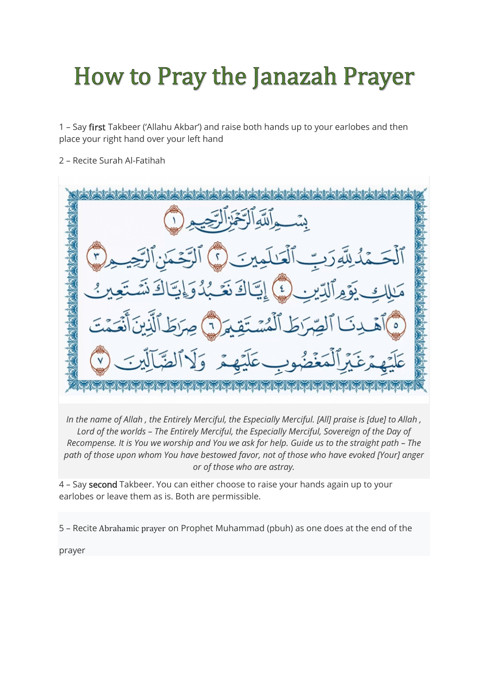## **How to Pray the Janazah Prayer**

1 – Say first Takbeer ('Allahu Akbar') and raise both hands up to your earlobes and then place your right hand over your left hand

2 – Recite Surah Al-Fatihah

| بِسَوِاللَّهِالَّذَلِّلِنَّجِيدِ(١                                     |  |
|------------------------------------------------------------------------|--|
| ٱلْحَمْدُلِلَّهِ رَبِّ ٱلْعَلَمِينَ () ٱلْتَحْمَنِ ٱلرَّحِيمِ (*)      |  |
| مَلِكِ بَوَمِ ٱلَّذِينِ ﴾ إِيَّاكَ نَعَبُدُوَإِيَّاكَ شَبَّعِينُ       |  |
| (٥) آهَدِنَا ٱلصِّرَطَ ٱلْمُسْتَقِيرَ (٦) صِرَطَ ٱلَّذِينَ أَنْعَمَّتَ |  |
| عَلَيْهِمْ عَيْرِ ٱلْمَغْضُوبِ عَلَيْهِمْ وَلَا ٱلصَّآلِينَ (٧         |  |
|                                                                        |  |

*In the name of Allah , the Entirely Merciful, the Especially Merciful. [All] praise is [due] to Allah , Lord of the worlds – The Entirely Merciful, the Especially Merciful, Sovereign of the Day of Recompense. It is You we worship and You we ask for help. Guide us to the straight path – The path of those upon whom You have bestowed favor, not of those who have evoked [Your] anger or of those who are astray.*

4 – Say second Takbeer. You can either choose to raise your hands again up to your earlobes or leave them as is. Both are permissible.

5 – Recite Abrahamic prayer on Prophet Muhammad (pbuh) as one does at the end of the

prayer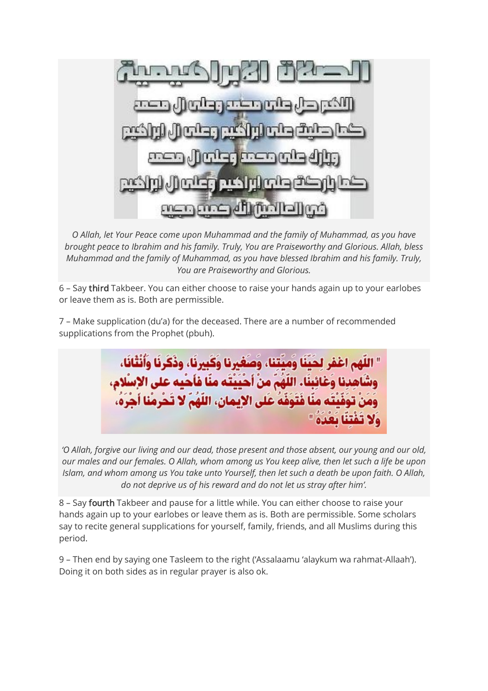ادا المش الماكست

*O Allah, let Your Peace come upon Muhammad and the family of Muhammad, as you have brought peace to Ibrahim and his family. Truly, You are Praiseworthy and Glorious. Allah, bless Muhammad and the family of Muhammad, as you have blessed Ibrahim and his family. Truly, You are Praiseworthy and Glorious.*

6 – Say third Takbeer. You can either choose to raise your hands again up to your earlobes or leave them as is. Both are permissible.

7 – Make supplication (du'a) for the deceased. There are a number of recommended supplications from the Prophet (pbuh).



*'O Allah, forgive our living and our dead, those present and those absent, our young and our old, our males and our females. O Allah, whom among us You keep alive, then let such a life be upon Islam, and whom among us You take unto Yourself, then let such a death be upon faith. O Allah, do not deprive us of his reward and do not let us stray after him'.*

8 – Say fourth Takbeer and pause for a little while. You can either choose to raise your hands again up to your earlobes or leave them as is. Both are permissible. Some scholars say to recite general supplications for yourself, family, friends, and all Muslims during this period.

9 – Then end by saying one Tasleem to the right ('Assalaamu 'alaykum wa rahmat-Allaah'). Doing it on both sides as in regular prayer is also ok.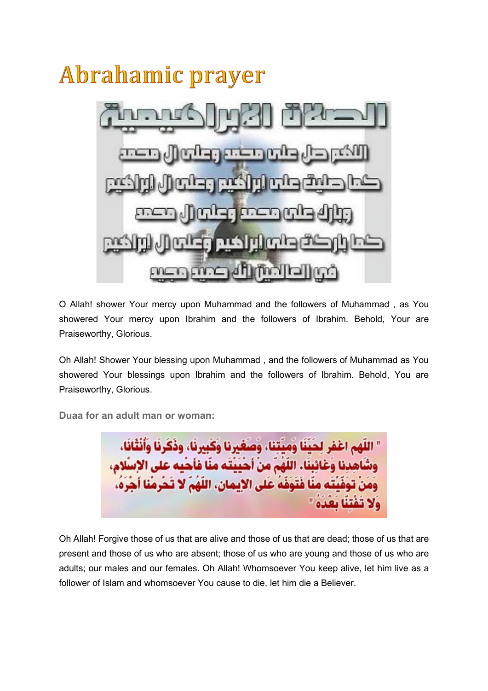

O Allah! shower Your mercy upon Muhammad and the followers of Muhammad , as You showered Your mercy upon Ibrahim and the followers of Ibrahim. Behold, Your are Praiseworthy, Glorious.

Oh Allah! Shower Your blessing upon Muhammad , and the followers of Muhammad as You showered Your blessings upon Ibrahim and the followers of Ibrahim. Behold, You are Praiseworthy, Glorious.

**Duaa for an adult man or woman:**

كَبِرِنَا، وذَكَرِنَا وَأَنْثَانَا، ي الإيمان، اللَّهُمْ لا ت ەقە غا

Oh Allah! Forgive those of us that are alive and those of us that are dead; those of us that are present and those of us who are absent; those of us who are young and those of us who are adults; our males and our females. Oh Allah! Whomsoever You keep alive, let him live as a follower of Islam and whomsoever You cause to die, let him die a Believer.